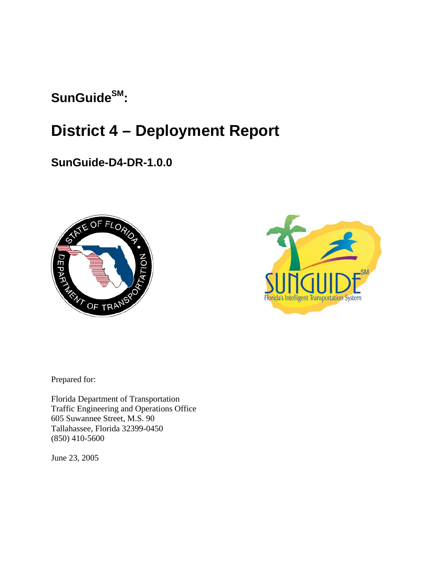# SunGuide<sup>SM</sup>:

# **District 4 – Deployment Report**

## **SunGuide-D4-DR-1.0.0**





Prepared for:

Florida Department of Transportation Traffic Engineering and Operations Office 605 Suwannee Street, M.S. 90 Tallahassee, Florida 32399-0450 (850) 410-5600

June 23, 2005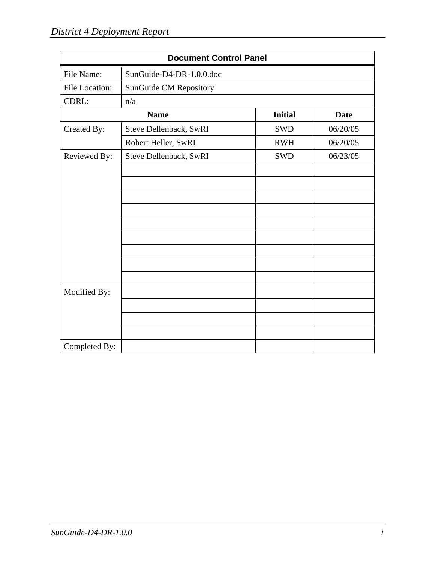| <b>Document Control Panel</b> |                          |                |             |  |
|-------------------------------|--------------------------|----------------|-------------|--|
| File Name:                    | SunGuide-D4-DR-1.0.0.doc |                |             |  |
| File Location:                | SunGuide CM Repository   |                |             |  |
| CDRL:                         | n/a                      |                |             |  |
| <b>Name</b>                   |                          | <b>Initial</b> | <b>Date</b> |  |
| Created By:                   | Steve Dellenback, SwRI   | <b>SWD</b>     | 06/20/05    |  |
|                               | Robert Heller, SwRI      | <b>RWH</b>     | 06/20/05    |  |
| Reviewed By:                  | Steve Dellenback, SwRI   | <b>SWD</b>     | 06/23/05    |  |
|                               |                          |                |             |  |
|                               |                          |                |             |  |
|                               |                          |                |             |  |
|                               |                          |                |             |  |
|                               |                          |                |             |  |
|                               |                          |                |             |  |
|                               |                          |                |             |  |
|                               |                          |                |             |  |
|                               |                          |                |             |  |
| Modified By:                  |                          |                |             |  |
|                               |                          |                |             |  |
|                               |                          |                |             |  |
|                               |                          |                |             |  |
| Completed By:                 |                          |                |             |  |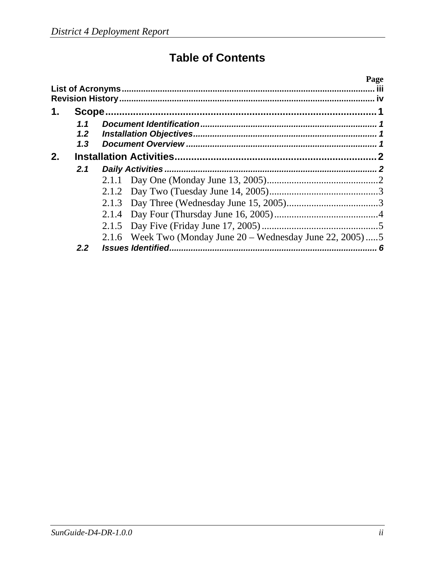# **Table of Contents**

|    |                  |                                                              | Page |
|----|------------------|--------------------------------------------------------------|------|
|    |                  |                                                              |      |
|    |                  |                                                              |      |
| 1. |                  |                                                              |      |
|    | 1.1              |                                                              |      |
|    | 1.2              |                                                              |      |
|    | 1.3              |                                                              |      |
| 2. |                  |                                                              |      |
|    | 2.1              |                                                              |      |
|    |                  |                                                              |      |
|    |                  |                                                              |      |
|    |                  |                                                              |      |
|    |                  |                                                              |      |
|    |                  |                                                              |      |
|    |                  | 2.1.6 Week Two (Monday June $20 -$ Wednesday June 22, 2005)5 |      |
|    | 2.2 <sub>2</sub> | <b>Issues Identified.</b>                                    | 6    |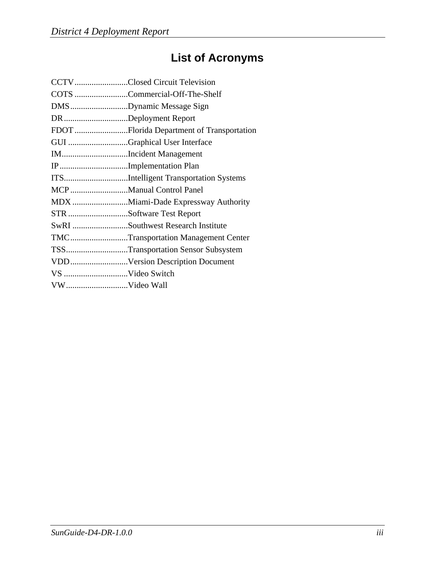# **List of Acronyms**

|                       | CCTVClosed Circuit Television             |
|-----------------------|-------------------------------------------|
|                       | COTS Commercial-Off-The-Shelf             |
|                       | DMSDynamic Message Sign                   |
| DR Deployment Report  |                                           |
|                       | FDOT Florida Department of Transportation |
|                       | GUI Graphical User Interface              |
|                       | IMIncident Management                     |
| IPImplementation Plan |                                           |
|                       | ITSIntelligent Transportation Systems     |
|                       | MCP Manual Control Panel                  |
|                       | MDX Miami-Dade Expressway Authority       |
|                       | STR Software Test Report                  |
|                       | SwRI Southwest Research Institute         |
|                       | TMCTransportation Management Center       |
|                       | TSSTransportation Sensor Subsystem        |
|                       | VDDVersion Description Document           |
|                       |                                           |
| VWVideo Wall          |                                           |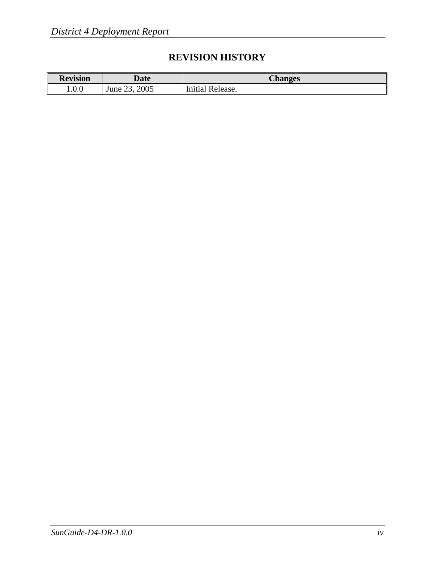## **REVISION HISTORY**

| <b>Revision</b> | <i><b>Date</b></i>        | <b>Changes</b>   |
|-----------------|---------------------------|------------------|
| 1.0.0           | 2005<br>າາ<br>June<br>ه ب | Initial Release. |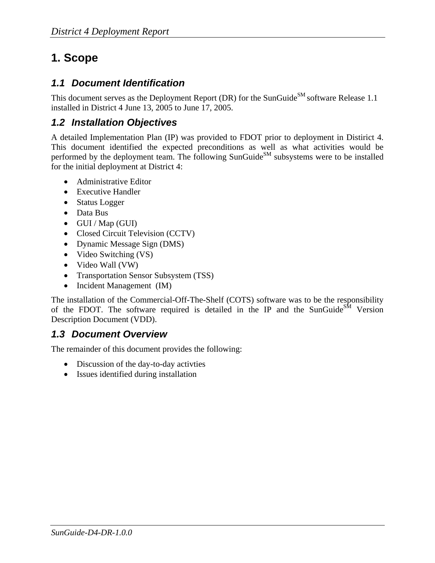## **1. Scope**

### *1.1 Document Identification*

This document serves as the Deployment Report (DR) for the SunGuide<sup>SM</sup> software Release 1.1 installed in District 4 June 13, 2005 to June 17, 2005.

## *1.2 Installation Objectives*

A detailed Implementation Plan (IP) was provided to FDOT prior to deployment in Distirict 4. This document identified the expected preconditions as well as what activities would be performed by the deployment team. The following SunGuide<sup>SM</sup> subsystems were to be installed for the initial deployment at District 4:

- Administrative Editor
- Executive Handler
- Status Logger
- Data Bus
- GUI / Map (GUI)
- Closed Circuit Television (CCTV)
- Dynamic Message Sign (DMS)
- Video Switching (VS)
- Video Wall (VW)
- Transportation Sensor Subsystem (TSS)
- Incident Management (IM)

The installation of the Commercial-Off-The-Shelf (COTS) software was to be the responsibility of the FDOT. The software required is detailed in the IP and the SunGuide<sup>SM</sup> Version Description Document (VDD).

### *1.3 Document Overview*

The remainder of this document provides the following:

- Discussion of the day-to-day activities
- Issues identified during installation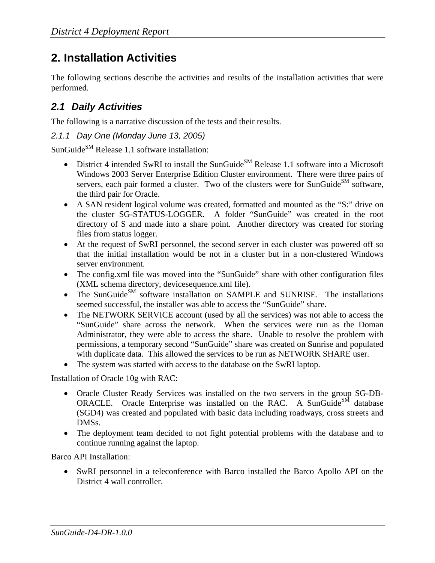## **2. Installation Activities**

The following sections describe the activities and results of the installation activities that were performed.

### *2.1 Daily Activities*

The following is a narrative discussion of the tests and their results.

*2.1.1 Day One (Monday June 13, 2005)* 

SunGuideSM Release 1.1 software installation:

- District 4 intended SwRI to install the SunGuide<sup>SM</sup> Release 1.1 software into a Microsoft Windows 2003 Server Enterprise Edition Cluster environment. There were three pairs of servers, each pair formed a cluster. Two of the clusters were for SunGuide<sup>SM</sup> software, the third pair for Oracle.
- A SAN resident logical volume was created, formatted and mounted as the "S:" drive on the cluster SG-STATUS-LOGGER. A folder "SunGuide" was created in the root directory of S and made into a share point. Another directory was created for storing files from status logger.
- At the request of SwRI personnel, the second server in each cluster was powered off so that the initial installation would be not in a cluster but in a non-clustered Windows server environment.
- The config.xml file was moved into the "SunGuide" share with other configuration files (XML schema directory, devicesequence.xml file).
- The SunGuide<sup>SM</sup> software installation on SAMPLE and SUNRISE. The installations seemed successful, the installer was able to access the "SunGuide" share.
- The NETWORK SERVICE account (used by all the services) was not able to access the "SunGuide" share across the network. When the services were run as the Doman Administrator, they were able to access the share. Unable to resolve the problem with permissions, a temporary second "SunGuide" share was created on Sunrise and populated with duplicate data. This allowed the services to be run as NETWORK SHARE user.
- The system was started with access to the database on the SwRI laptop.

Installation of Oracle 10g with RAC:

- Oracle Cluster Ready Services was installed on the two servers in the group SG-DB-ORACLE. Oracle Enterprise was installed on the RAC. A SunGuide<sup>SM</sup> database (SGD4) was created and populated with basic data including roadways, cross streets and DMS<sub>s</sub>.
- The deployment team decided to not fight potential problems with the database and to continue running against the laptop.

Barco API Installation:

• SwRI personnel in a teleconference with Barco installed the Barco Apollo API on the District 4 wall controller.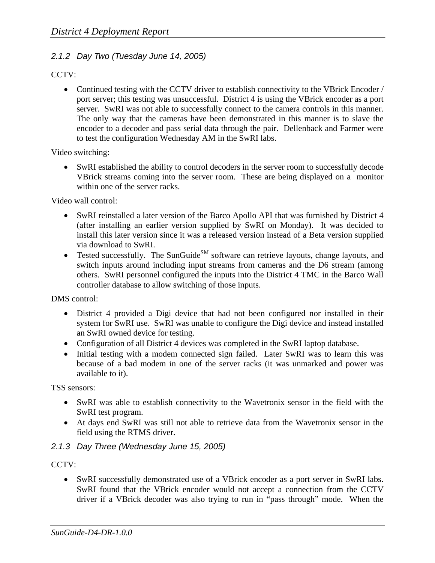#### *2.1.2 Day Two (Tuesday June 14, 2005)*

CCTV:

• Continued testing with the CCTV driver to establish connectivity to the VBrick Encoder / port server; this testing was unsuccessful. District 4 is using the VBrick encoder as a port server. SwRI was not able to successfully connect to the camera controls in this manner. The only way that the cameras have been demonstrated in this manner is to slave the encoder to a decoder and pass serial data through the pair. Dellenback and Farmer were to test the configuration Wednesday AM in the SwRI labs.

Video switching:

• SwRI established the ability to control decoders in the server room to successfully decode VBrick streams coming into the server room. These are being displayed on a monitor within one of the server racks.

Video wall control:

- SwRI reinstalled a later version of the Barco Apollo API that was furnished by District 4 (after installing an earlier version supplied by SwRI on Monday). It was decided to install this later version since it was a released version instead of a Beta version supplied via download to SwRI.
- Tested successfully. The SunGuide<sup>SM</sup> software can retrieve layouts, change layouts, and switch inputs around including input streams from cameras and the D6 stream (among others. SwRI personnel configured the inputs into the District 4 TMC in the Barco Wall controller database to allow switching of those inputs.

DMS control:

- District 4 provided a Digi device that had not been configured nor installed in their system for SwRI use. SwRI was unable to configure the Digi device and instead installed an SwRI owned device for testing.
- Configuration of all District 4 devices was completed in the SwRI laptop database.
- Initial testing with a modem connected sign failed. Later SwRI was to learn this was because of a bad modem in one of the server racks (it was unmarked and power was available to it).

TSS sensors:

- SwRI was able to establish connectivity to the Wavetronix sensor in the field with the SwRI test program.
- At days end SwRI was still not able to retrieve data from the Wavetronix sensor in the field using the RTMS driver.

#### *2.1.3 Day Three (Wednesday June 15, 2005)*

CCTV:

• SwRI successfully demonstrated use of a VBrick encoder as a port server in SwRI labs. SwRI found that the VBrick encoder would not accept a connection from the CCTV driver if a VBrick decoder was also trying to run in "pass through" mode. When the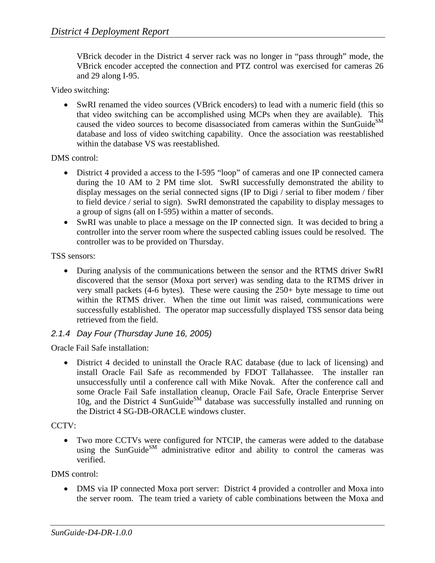VBrick decoder in the District 4 server rack was no longer in "pass through" mode, the VBrick encoder accepted the connection and PTZ control was exercised for cameras 26 and 29 along I-95.

Video switching:

• SwRI renamed the video sources (VBrick encoders) to lead with a numeric field (this so that video switching can be accomplished using MCPs when they are available). This caused the video sources to become disassociated from cameras within the SunGuide<sup>SM</sup> database and loss of video switching capability. Once the association was reestablished within the database VS was reestablished.

DMS control:

- District 4 provided a access to the I-595 "loop" of cameras and one IP connected camera during the 10 AM to 2 PM time slot. SwRI successfully demonstrated the ability to display messages on the serial connected signs (IP to Digi / serial to fiber modem / fiber to field device / serial to sign). SwRI demonstrated the capability to display messages to a group of signs (all on I-595) within a matter of seconds.
- SwRI was unable to place a message on the IP connected sign. It was decided to bring a controller into the server room where the suspected cabling issues could be resolved. The controller was to be provided on Thursday.

TSS sensors:

• During analysis of the communications between the sensor and the RTMS driver SwRI discovered that the sensor (Moxa port server) was sending data to the RTMS driver in very small packets (4-6 bytes). These were causing the 250+ byte message to time out within the RTMS driver. When the time out limit was raised, communications were successfully established. The operator map successfully displayed TSS sensor data being retrieved from the field.

#### *2.1.4 Day Four (Thursday June 16, 2005)*

Oracle Fail Safe installation:

• District 4 decided to uninstall the Oracle RAC database (due to lack of licensing) and install Oracle Fail Safe as recommended by FDOT Tallahassee. The installer ran unsuccessfully until a conference call with Mike Novak. After the conference call and some Oracle Fail Safe installation cleanup, Oracle Fail Safe, Oracle Enterprise Server 10g, and the District 4 SunGuide<sup>SM</sup> database was successfully installed and running on the District 4 SG-DB-ORACLE windows cluster.

CCTV:

• Two more CCTVs were configured for NTCIP, the cameras were added to the database using the SunGuide<sup>SM</sup> administrative editor and ability to control the cameras was verified.

DMS control:

• DMS via IP connected Moxa port server: District 4 provided a controller and Moxa into the server room. The team tried a variety of cable combinations between the Moxa and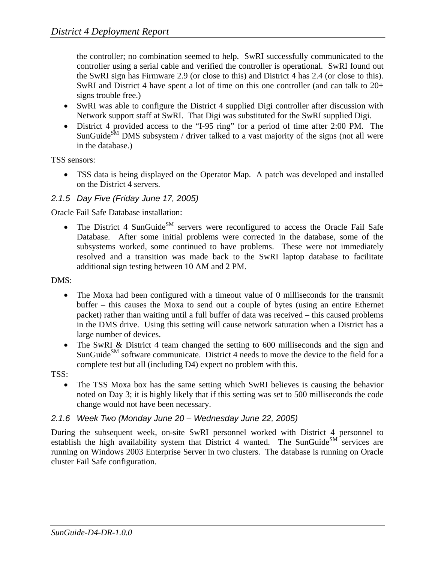the controller; no combination seemed to help. SwRI successfully communicated to the controller using a serial cable and verified the controller is operational. SwRI found out the SwRI sign has Firmware 2.9 (or close to this) and District 4 has 2.4 (or close to this). SwRI and District 4 have spent a lot of time on this one controller (and can talk to 20+ signs trouble free.)

- SwRI was able to configure the District 4 supplied Digi controller after discussion with Network support staff at SwRI. That Digi was substituted for the SwRI supplied Digi.
- District 4 provided access to the "I-95 ring" for a period of time after 2:00 PM. The SunGuide<sup>SM</sup> DMS subsystem / driver talked to a vast majority of the signs (not all were in the database.)

TSS sensors:

• TSS data is being displayed on the Operator Map. A patch was developed and installed on the District 4 servers.

#### *2.1.5 Day Five (Friday June 17, 2005)*

Oracle Fail Safe Database installation:

• The District 4 SunGuide<sup>SM</sup> servers were reconfigured to access the Oracle Fail Safe Database. After some initial problems were corrected in the database, some of the subsystems worked, some continued to have problems. These were not immediately resolved and a transition was made back to the SwRI laptop database to facilitate additional sign testing between 10 AM and 2 PM.

DMS:

- The Moxa had been configured with a timeout value of 0 milliseconds for the transmit buffer – this causes the Moxa to send out a couple of bytes (using an entire Ethernet packet) rather than waiting until a full buffer of data was received – this caused problems in the DMS drive. Using this setting will cause network saturation when a District has a large number of devices.
- The SwRI & District 4 team changed the setting to 600 milliseconds and the sign and SunGuide $^{SM}$  software communicate. District 4 needs to move the device to the field for a complete test but all (including D4) expect no problem with this.

TSS:

• The TSS Moxa box has the same setting which SwRI believes is causing the behavior noted on Day 3; it is highly likely that if this setting was set to 500 milliseconds the code change would not have been necessary.

#### *2.1.6 Week Two (Monday June 20 – Wednesday June 22, 2005)*

During the subsequent week, on-site SwRI personnel worked with District 4 personnel to establish the high availability system that District 4 wanted. The SunGuide<sup>SM</sup> services are running on Windows 2003 Enterprise Server in two clusters. The database is running on Oracle cluster Fail Safe configuration.